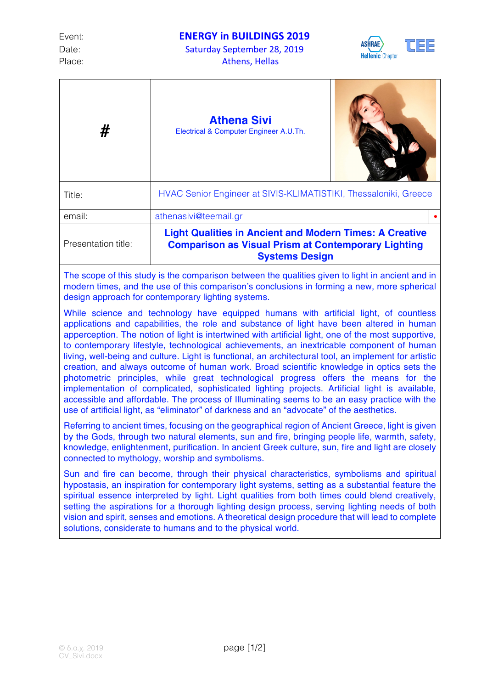Date: Saturday September 28, 2019 Place: Athens, Hellas



| #                                                                                                                                                                                                                                                                                                                                                                                                                                                                                                                                                                                                                                                                                                                                                                                                                                                                                                                                                                                  | <b>Athena Sivi</b><br>Electrical & Computer Engineer A.U.Th.                                                                                          |  |
|------------------------------------------------------------------------------------------------------------------------------------------------------------------------------------------------------------------------------------------------------------------------------------------------------------------------------------------------------------------------------------------------------------------------------------------------------------------------------------------------------------------------------------------------------------------------------------------------------------------------------------------------------------------------------------------------------------------------------------------------------------------------------------------------------------------------------------------------------------------------------------------------------------------------------------------------------------------------------------|-------------------------------------------------------------------------------------------------------------------------------------------------------|--|
| Title:                                                                                                                                                                                                                                                                                                                                                                                                                                                                                                                                                                                                                                                                                                                                                                                                                                                                                                                                                                             | HVAC Senior Engineer at SIVIS-KLIMATISTIKI, Thessaloniki, Greece                                                                                      |  |
| email:                                                                                                                                                                                                                                                                                                                                                                                                                                                                                                                                                                                                                                                                                                                                                                                                                                                                                                                                                                             | athenasivi@teemail.gr                                                                                                                                 |  |
| Presentation title:                                                                                                                                                                                                                                                                                                                                                                                                                                                                                                                                                                                                                                                                                                                                                                                                                                                                                                                                                                | <b>Light Qualities in Ancient and Modern Times: A Creative</b><br><b>Comparison as Visual Prism at Contemporary Lighting</b><br><b>Systems Design</b> |  |
| The scope of this study is the comparison between the qualities given to light in ancient and in<br>modern times, and the use of this comparison's conclusions in forming a new, more spherical<br>design approach for contemporary lighting systems.                                                                                                                                                                                                                                                                                                                                                                                                                                                                                                                                                                                                                                                                                                                              |                                                                                                                                                       |  |
| While science and technology have equipped humans with artificial light, of countless<br>applications and capabilities, the role and substance of light have been altered in human<br>apperception. The notion of light is intertwined with artificial light, one of the most supportive,<br>to contemporary lifestyle, technological achievements, an inextricable component of human<br>living, well-being and culture. Light is functional, an architectural tool, an implement for artistic<br>creation, and always outcome of human work. Broad scientific knowledge in optics sets the<br>photometric principles, while great technological progress offers the means for the<br>implementation of complicated, sophisticated lighting projects. Artificial light is available,<br>accessible and affordable. The process of Illuminating seems to be an easy practice with the<br>use of artificial light, as "eliminator" of darkness and an "advocate" of the aesthetics. |                                                                                                                                                       |  |
| Referring to ancient times, focusing on the geographical region of Ancient Greece, light is given<br>by the Gods, through two natural elements, sun and fire, bringing people life, warmth, safety,<br>knowledge, enlightenment, purification. In ancient Greek culture, sun, fire and light are closely<br>connected to mythology, worship and symbolisms.                                                                                                                                                                                                                                                                                                                                                                                                                                                                                                                                                                                                                        |                                                                                                                                                       |  |
| Sun and fire can become, through their physical characteristics, symbolisms and spiritual<br>hypostasis, an inspiration for contemporary light systems, setting as a substantial feature the<br>spiritual essence interpreted by light. Light qualities from both times could blend creatively,<br>setting the aspirations for a thorough lighting design process, serving lighting needs of both<br>vision and spirit, senses and emotions. A theoretical design procedure that will lead to complete                                                                                                                                                                                                                                                                                                                                                                                                                                                                             |                                                                                                                                                       |  |

solutions, considerate to humans and to the physical world.